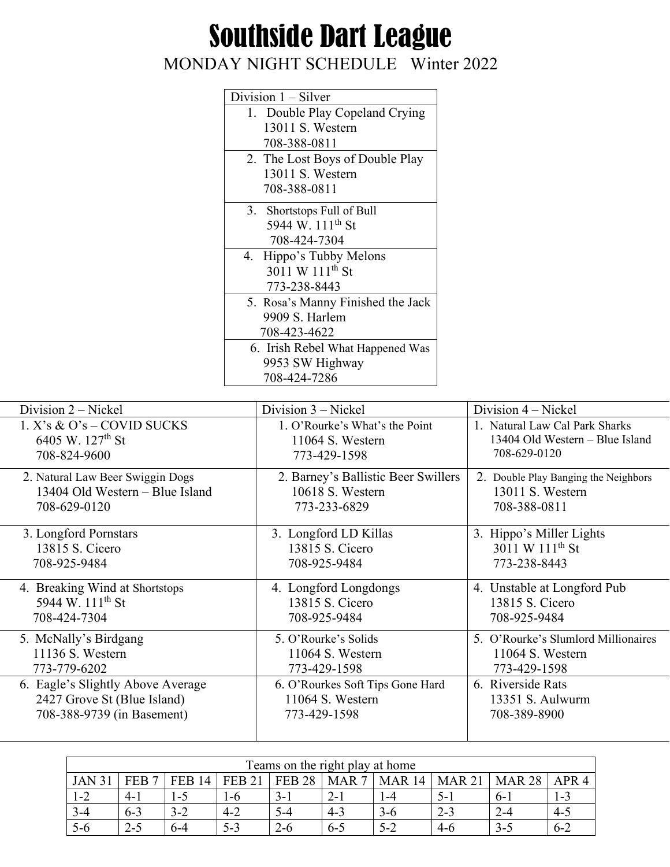## Southside Dart League

## MONDAY NIGHT SCHEDULE Winter 2022

| Division $1 -$ Silver             |
|-----------------------------------|
| 1. Double Play Copeland Crying    |
| 13011 S. Western                  |
| 708-388-0811                      |
| 2. The Lost Boys of Double Play   |
| 13011 S. Western                  |
| 708-388-0811                      |
| 3. Shortstops Full of Bull        |
| 5944 W. 111 <sup>th</sup> St      |
| 708-424-7304                      |
| 4. Hippo's Tubby Melons           |
| 3011 W 111 <sup>th</sup> St       |
| 773-238-8443                      |
| 5. Rosa's Manny Finished the Jack |
| 9909 S. Harlem                    |
| 708-423-4622                      |
| 6. Irish Rebel What Happened Was  |
| 9953 SW Highway                   |
| 708-424-7286                      |

| Division 2 – Nickel               | Division $3$ – Nickel               | Division 4 - Nickel                  |
|-----------------------------------|-------------------------------------|--------------------------------------|
| $1. X's \& O's - COVID$ SUCKS     | 1. O'Rourke's What's the Point      | 1. Natural Law Cal Park Sharks       |
| 6405 W. 127 <sup>th</sup> St      | 11064 S. Western                    | 13404 Old Western - Blue Island      |
| 708-824-9600                      | 773-429-1598                        | 708-629-0120                         |
| 2. Natural Law Beer Swiggin Dogs  | 2. Barney's Ballistic Beer Swillers | 2. Double Play Banging the Neighbors |
| 13404 Old Western – Blue Island   | 10618 S. Western                    | 13011 S. Western                     |
| 708-629-0120                      | 773-233-6829                        | 708-388-0811                         |
| 3. Longford Pornstars             | 3. Longford LD Killas               | 3. Hippo's Miller Lights             |
| 13815 S. Cicero                   | 13815 S. Cicero                     | 3011 W 111 <sup>th</sup> St          |
| 708-925-9484                      | 708-925-9484                        | 773-238-8443                         |
| 4. Breaking Wind at Shortstops    | 4. Longford Longdongs               | 4. Unstable at Longford Pub          |
| 5944 W. 111 <sup>th</sup> St      | 13815 S. Cicero                     | 13815 S. Cicero                      |
| 708-424-7304                      | 708-925-9484                        | 708-925-9484                         |
| 5. McNally's Birdgang             | 5. O'Rourke's Solids                | 5. O'Rourke's Slumlord Millionaires  |
| 11136 S. Western                  | 11064 S. Western                    | 11064 S. Western                     |
| 773-779-6202                      | 773-429-1598                        | 773-429-1598                         |
| 6. Eagle's Slightly Above Average | 6. O'Rourkes Soft Tips Gone Hard    | 6. Riverside Rats                    |
| 2427 Grove St (Blue Island)       | 11064 S. Western                    | $13351$ S. Aulwurm                   |
| 708-388-9739 (in Basement)        | 773-429-1598                        | 708-389-8900                         |

| Teams on the right play at home |                 |                  |               |               |                  |               |               |               |                  |
|---------------------------------|-----------------|------------------|---------------|---------------|------------------|---------------|---------------|---------------|------------------|
| <b>JAN 31</b>                   | <b>FEB</b><br>- | <b>FEB</b><br>14 | <b>FEB 21</b> | <b>FEB 28</b> | MAR <sub>7</sub> | <b>MAR 14</b> | <b>MAR 21</b> | <b>MAR 28</b> | APR <sub>4</sub> |
| $1 - 2$                         | $4 - 1$         | -3               | 1-6           | $3-1$         | $2 - 1$          | -4            | 5-            | $0 - 1$       | 1-3              |
| $3 - 4$                         | $6 - 3$         | $3 - 2$          | $4 - 2$       | $5 - 4$       | $4 - 3$          | $3-6$         | $2 - 3$       | $\sim$ -4     | $4 - 5$          |
| $5-6$                           | $2 - 5$         | 6-4              | 5-3           | $2 - 6$       | $6 - 5$          | $5 - 2$       | $-4-6$        | 3-5           | $6 - 2$          |